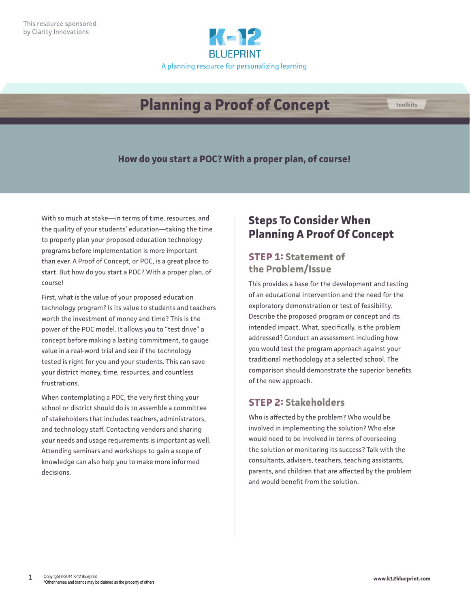

# **Planning a Proof of Concept**

**How do you start a POC? With a proper plan, of course!** 

With so much at stake—in terms of time, resources, and the quality of your students' education—taking the time to properly plan your proposed education technology programs before implementation is more important than ever. A Proof of Concept, or POC, is a great place to start. But how do you start a POC? With a proper plan, of course!

First, what is the value of your proposed education technology program? Is its value to students and teachers worth the investment of money and time? This is the power of the POC model. It allows you to "test drive" a concept before making a lasting commitment, to gauge value in a real-word trial and see if the technology tested is right for you and your students. This can save your district money, time, resources, and countless frustrations.

When contemplating a POC, the very first thing your school or district should do is to assemble a committee of stakeholders that includes teachers, administrators, and technology staff. Contacting vendors and sharing your needs and usage requirements is important as well. Attending seminars and workshops to gain a scope of knowledge can also help you to make more informed decisions.

## **Steps To Consider When Planning A Proof Of Concept**

## **STEP 1: Statement of the Problem/Issue**

This provides a base for the development and testing of an educational intervention and the need for the exploratory demonstration or test of feasibility. Describe the proposed program or concept and its intended impact. What, specifically, is the problem addressed? Conduct an assessment including how you would test the program approach against your traditional methodology at a selected school. The comparison should demonstrate the superior benefits of the new approach.

#### **STEP 2: Stakeholders**

Who is affected by the problem? Who would be involved in implementing the solution? Who else would need to be involved in terms of overseeing the solution or monitoring its success? Talk with the consultants, advisers, teachers, teaching assistants, parents, and children that are affected by the problem and would benefit from the solution.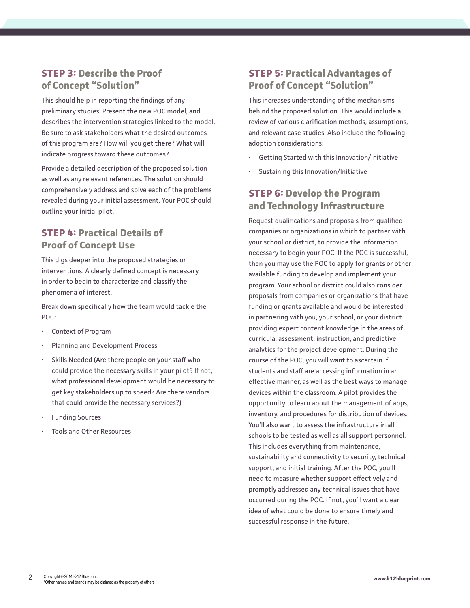#### **STEP 3: Describe the Proof of Concept "Solution"**

This should help in reporting the findings of any preliminary studies. Present the new POC model, and describes the intervention strategies linked to the model. Be sure to ask stakeholders what the desired outcomes of this program are? How will you get there? What will indicate progress toward these outcomes?

Provide a detailed description of the proposed solution as well as any relevant references. The solution should comprehensively address and solve each of the problems revealed during your initial assessment. Your POC should outline your initial pilot.

#### **STEP 4: Practical Details of Proof of Concept Use**

This digs deeper into the proposed strategies or interventions. A clearly defined concept is necessary in order to begin to characterize and classify the phenomena of interest.

Break down specifically how the team would tackle the POC:

- Context of Program
- Planning and Development Process
- Skills Needed (Are there people on your staff who could provide the necessary skills in your pilot? If not, what professional development would be necessary to get key stakeholders up to speed? Are there vendors that could provide the necessary services?)
- Funding Sources
- Tools and Other Resources

#### **STEP 5: Practical Advantages of Proof of Concept "Solution"**

This increases understanding of the mechanisms behind the proposed solution. This would include a review of various clarification methods, assumptions, and relevant case studies. Also include the following adoption considerations:

- Getting Started with this Innovation/Initiative
- Sustaining this Innovation/Initiative

#### **STEP 6: Develop the Program and Technology Infrastructure**

Request qualifications and proposals from qualified companies or organizations in which to partner with your school or district, to provide the information necessary to begin your POC. If the POC is successful, then you may use the POC to apply for grants or other available funding to develop and implement your program. Your school or district could also consider proposals from companies or organizations that have funding or grants available and would be interested in partnering with you, your school, or your district providing expert content knowledge in the areas of curricula, assessment, instruction, and predictive analytics for the project development. During the course of the POC, you will want to ascertain if students and staff are accessing information in an effective manner, as well as the best ways to manage devices within the classroom. A pilot provides the opportunity to learn about the management of apps, inventory, and procedures for distribution of devices. You'll also want to assess the infrastructure in all schools to be tested as well as all support personnel. This includes everything from maintenance, sustainability and connectivity to security, technical support, and initial training. After the POC, you'll need to measure whether support effectively and promptly addressed any technical issues that have occurred during the POC. If not, you'll want a clear idea of what could be done to ensure timely and successful response in the future.